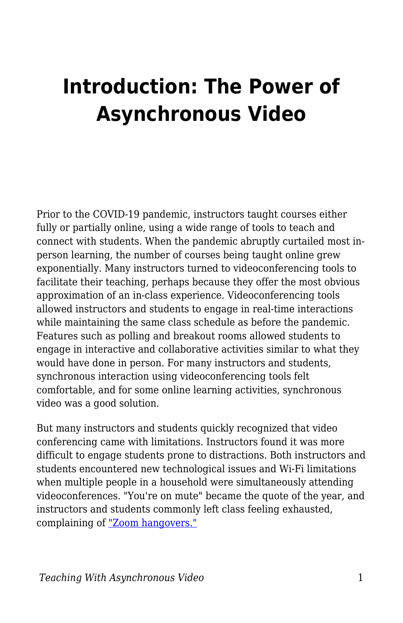## **Introduction: The Power of Asynchronous Video**

Prior to the COVID-19 pandemic, instructors taught courses either fully or partially online, using a wide range of tools to teach and connect with students. When the pandemic abruptly curtailed most inperson learning, the number of courses being taught online grew exponentially. Many instructors turned to videoconferencing tools to facilitate their teaching, perhaps because they offer the most obvious approximation of an in-class experience. Videoconferencing tools allowed instructors and students to engage in real-time interactions while maintaining the same class schedule as before the pandemic. Features such as polling and breakout rooms allowed students to engage in interactive and collaborative activities similar to what they would have done in person. For many instructors and students, synchronous interaction using videoconferencing tools felt comfortable, and for some online learning activities, synchronous video was a good solution.

But many instructors and students quickly recognized that video conferencing came with limitations. Instructors found it was more difficult to engage students prone to distractions. Both instructors and students encountered new technological issues and Wi-Fi limitations when multiple people in a household were simultaneously attending videoconferences. "You're on mute" became the quote of the year, and instructors and students commonly left class feeling exhausted, complaining of ["Zoom hangovers."](https://www.thecut.com/2020/03/am-i-video-chatting-too-much-coronavirus.html)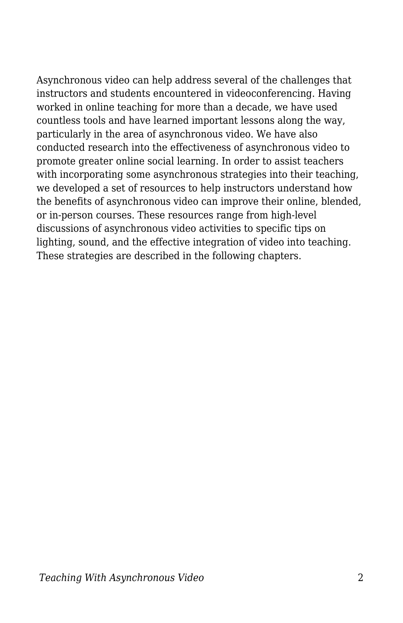Asynchronous video can help address several of the challenges that instructors and students encountered in videoconferencing. Having worked in online teaching for more than a decade, we have used countless tools and have learned important lessons along the way, particularly in the area of asynchronous video. We have also conducted research into the effectiveness of asynchronous video to promote greater online social learning. In order to assist teachers with incorporating some asynchronous strategies into their teaching, we developed a set of resources to help instructors understand how the benefits of asynchronous video can improve their online, blended, or in-person courses. These resources range from high-level discussions of asynchronous video activities to specific tips on lighting, sound, and the effective integration of video into teaching. These strategies are described in the following chapters.